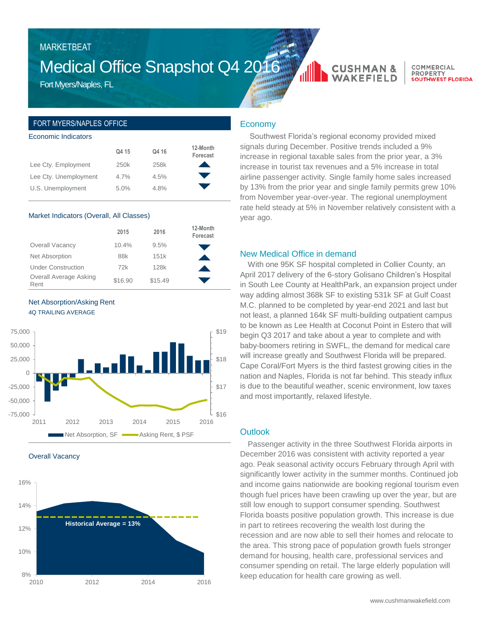## MARKETBEAT

# Medical Office Snapshot Q4 2016

Fort Myers/Naples, FL

### FORT MYERS/NAPLES OFFICE

#### Economic Indicators

|                       | Q4 15            | Q4 16 | 12-Month<br>Forecast |
|-----------------------|------------------|-------|----------------------|
| Lee Cty. Employment   | 250 <sub>k</sub> | 258k  |                      |
| Lee Cty. Unemployment | 4.7%             | 4.5%  |                      |
| U.S. Unemployment     | 5.0%             | 4.8%  |                      |

#### Market Indicators (Overall, All Classes)

|                                | 2015    | 2016    | 12-Month<br>Forecast |
|--------------------------------|---------|---------|----------------------|
| Overall Vacancy                | 10.4%   | 9.5%    |                      |
| Net Absorption                 | 88k     | 151k    |                      |
| <b>Under Construction</b>      | 72k     | 128k    |                      |
| Overall Average Asking<br>Rent | \$16.90 | \$15.49 |                      |

#### Net Absorption/Asking Rent 4Q TRAILING AVERAGE



Overall Vacancy



### Economy

Southwest Florida's regional economy provided mixed signals during December. Positive trends included a 9% increase in regional taxable sales from the prior year, a 3% increase in tourist tax revenues and a 5% increase in total airline passenger activity. Single family home sales increased by 13% from the prior year and single family permits grew 10% from November year-over-year. The regional unemployment rate held steady at 5% in November relatively consistent with a year ago.

**CUSHMAN &** 

**WAKEFIELD** 

COMMERCIAL

**SOUTHWEST FLORIDA** 

**DRODERTY** 

#### New Medical Office in demand

With one 95K SF hospital completed in Collier County, an April 2017 delivery of the 6-story Golisano Children's Hospital in South Lee County at HealthPark, an expansion project under way adding almost 368k SF to existing 531k SF at Gulf Coast M.C. planned to be completed by year-end 2021 and last but not least, a planned 164k SF multi-building outpatient campus to be known as Lee Health at Coconut Point in Estero that will begin Q3 2017 and take about a year to complete and with baby-boomers retiring in SWFL, the demand for medical care will increase greatly and Southwest Florida will be prepared. Cape Coral/Fort Myers is the third fastest growing cities in the nation and Naples, Florida is not far behind. This steady influx is due to the beautiful weather, scenic environment, low taxes and most importantly, relaxed lifestyle.

#### **Outlook**

Passenger activity in the three Southwest Florida airports in December 2016 was consistent with activity reported a year ago. Peak seasonal activity occurs February through April with significantly lower activity in the summer months. Continued job and income gains nationwide are booking regional tourism even though fuel prices have been crawling up over the year, but are still low enough to support consumer spending. Southwest Florida boasts positive population growth. This increase is due in part to retirees recovering the wealth lost during the recession and are now able to sell their homes and relocate to the area. This strong pace of population growth fuels stronger demand for housing, health care, professional services and consumer spending on retail. The large elderly population will keep education for health care growing as well.